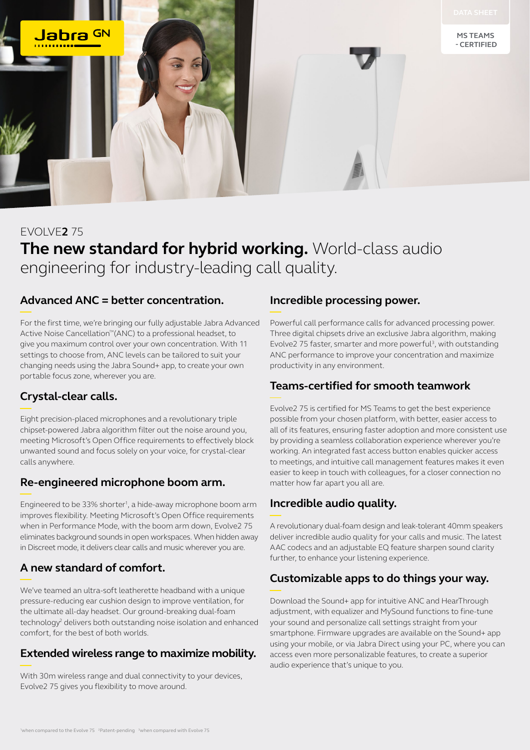

# EVOLVE**2** 75 **The new standard for hybrid working.** World-class audio engineering for industry-leading call quality.

#### **Advanced ANC = better concentration.**

For the first time, we're bringing our fully adjustable Jabra Advanced Active Noise Cancellation™(ANC) to a professional headset, to give you maximum control over your own concentration. With 11 settings to choose from, ANC levels can be tailored to suit your changing needs using the Jabra Sound+ app, to create your own portable focus zone, wherever you are.

## **Crystal-clear calls.**

Eight precision-placed microphones and a revolutionary triple chipset-powered Jabra algorithm filter out the noise around you, meeting Microsoft's Open Office requirements to effectively block unwanted sound and focus solely on your voice, for crystal-clear calls anywhere.

## **Re-engineered microphone boom arm.**

Engineered to be 33% shorter<sup>1</sup>, a hide-away microphone boom arm improves flexibility. Meeting Microsoft's Open Office requirements when in Performance Mode, with the boom arm down, Evolve2 75 eliminates background sounds in open workspaces. When hidden away in Discreet mode, it delivers clear calls and music wherever you are.

# **A new standard of comfort.**

We've teamed an ultra-soft leatherette headband with a unique pressure-reducing ear cushion design to improve ventilation, for the ultimate all-day headset. Our ground-breaking dual-foam technology<sup>2</sup> delivers both outstanding noise isolation and enhanced comfort, for the best of both worlds.

## **Extended wireless range to maximize mobility.**

With 30m wireless range and dual connectivity to your devices, Evolve2 75 gives you flexibility to move around.

#### **Incredible processing power.**

Powerful call performance calls for advanced processing power. Three digital chipsets drive an exclusive Jabra algorithm, making Evolve2 75 faster, smarter and more powerful<sup>3</sup>, with outstanding ANC performance to improve your concentration and maximize productivity in any environment.

## **Teams-certified for smooth teamwork**

Evolve2 75 is certified for MS Teams to get the best experience possible from your chosen platform, with better, easier access to all of its features, ensuring faster adoption and more consistent use by providing a seamless collaboration experience wherever you're working. An integrated fast access button enables quicker access to meetings, and intuitive call management features makes it even easier to keep in touch with colleagues, for a closer connection no matter how far apart you all are.

# **Incredible audio quality.**

A revolutionary dual-foam design and leak-tolerant 40mm speakers deliver incredible audio quality for your calls and music. The latest AAC codecs and an adjustable EQ feature sharpen sound clarity further, to enhance your listening experience.

## **Customizable apps to do things your way.**

Download the Sound+ app for intuitive ANC and HearThrough adjustment, with equalizer and MySound functions to fine-tune your sound and personalize call settings straight from your smartphone. Firmware upgrades are available on the Sound+ app using your mobile, or via Jabra Direct using your PC, where you can access even more personalizable features, to create a superior audio experience that's unique to you.